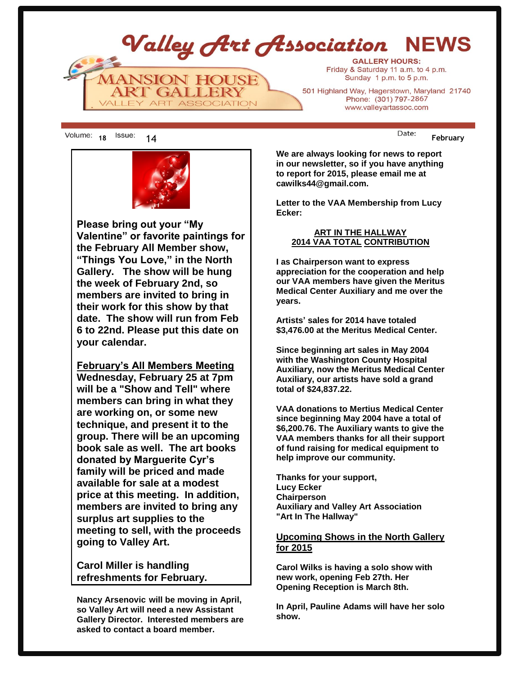Valley Art Association NEWS **GALLERY HOURS:** Friday & Saturday 11 a.m. to 4 p.m. **ANSION HOUSE** Sunday 1 p.m. to 5 p.m. **RT GALLERY** 501 Highland Way, Hagerstown, Maryland 21740 Phone: (301) 797-2867 ALLEY ART ASSOCIATION www.valleyartassoc.com

18 <sup>ISSUE:</sup> 14 **February** 



**Please bring out your "My Valentine" or favorite paintings for the February All Member show, "Things You Love," in the North Gallery. The show will be hung the week of February 2nd, so members are invited to bring in their work for this show by that date. The show will run from Feb 6 to 22nd. Please put this date on your calendar.**

**February's All Members Meeting Wednesday, February 25 at 7pm will be a "Show and Tell" where members can bring in what they are working on, or some new technique, and present it to the group. There will be an upcoming book sale as well. The art books donated by Marguerite Cyr's family will be priced and made available for sale at a modest price at this meeting. In addition, members are invited to bring any surplus art supplies to the meeting to sell, with the proceeds going to Valley Art.**

**Carol Miller is handling refreshments for February.**

**Nancy Arsenovic will be moving in April, so Valley Art will need a new Assistant Gallery Director. Interested members are asked to contact a board member.**

**We are always looking for news to report in our newsletter, so if you have anything to report for 2015, please email me at cawilks44@gmail.com.**

**Letter to the VAA Membership from Lucy Ecker:**

### **ART IN THE HALLWAY 2014 VAA TOTAL CONTRIBUTION**

**I as Chairperson want to express appreciation for the cooperation and help our VAA members have given the Meritus Medical Center Auxiliary and me over the years.** 

**Artists' sales for 2014 have totaled \$3,476.00 at the Meritus Medical Center.**

**Since beginning art sales in May 2004 with the Washington County Hospital Auxiliary, now the Meritus Medical Center Auxiliary, our artists have sold a grand total of \$24,837.22.**

**VAA donations to Mertius Medical Center since beginning May 2004 have a total of \$6,200.76. The Auxiliary wants to give the VAA members thanks for all their support of fund raising for medical equipment to help improve our community.** 

**Thanks for your support, Lucy Ecker Chairperson Auxiliary and Valley Art Association "Art In The Hallway"**

## **Upcoming Shows in the North Gallery for 2015**

**Carol Wilks is having a solo show with new work, opening Feb 27th. Her Opening Reception is March 8th.** 

**In April, Pauline Adams will have her solo show.**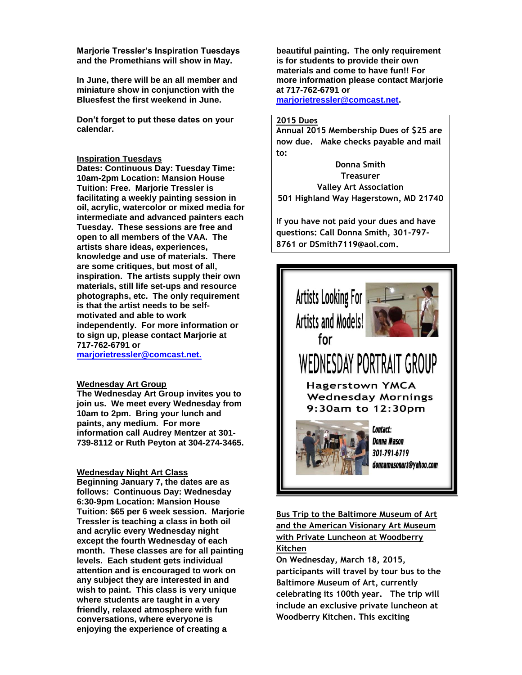**Marjorie Tressler's Inspiration Tuesdays and the Promethians will show in May.** 

**In June, there will be an all member and miniature show in conjunction with the Bluesfest the first weekend in June.** 

**Don't forget to put these dates on your calendar.**

#### **Inspiration Tuesdays**

**Dates: Continuous Day: Tuesday Time: 10am-2pm Location: Mansion House Tuition: Free. Marjorie Tressler is facilitating a weekly painting session in oil, acrylic, watercolor or mixed media for intermediate and advanced painters each Tuesday. These sessions are free and open to all members of the VAA. The artists share ideas, experiences, knowledge and use of materials. There are some critiques, but most of all, inspiration. The artists supply their own materials, still life set-ups and resource photographs, etc. The only requirement is that the artist needs to be selfmotivated and able to work independently. For more information or to sign up, please contact Marjorie at 717-762-6791 or** 

**marjorietressler@comcast.net.**

#### **Wednesday Art Group**

**The Wednesday Art Group invites you to join us. We meet every Wednesday from 10am to 2pm. Bring your lunch and paints, any medium. For more information call Audrey Mentzer at 301- 739-8112 or Ruth Peyton at 304-274-3465.**

#### **Wednesday Night Art Class**

**Beginning January 7, the dates are as follows: Continuous Day: Wednesday 6:30-9pm Location: Mansion House Tuition: \$65 per 6 week session. Marjorie Tressler is teaching a class in both oil and acrylic every Wednesday night except the fourth Wednesday of each month. These classes are for all painting levels. Each student gets individual attention and is encouraged to work on any subject they are interested in and wish to paint. This class is very unique where students are taught in a very friendly, relaxed atmosphere with fun conversations, where everyone is enjoying the experience of creating a** 

**beautiful painting. The only requirement is for students to provide their own materials and come to have fun!! For more information please contact Marjorie at 717-762-6791 or [marjorietressler@comcast.net.](mailto:marjorietressler@comcast.net)**

#### **2015 Dues**

**Annual 2015 Membership Dues of \$25 are now due. Make checks payable and mail to:**

**Donna Smith Treasurer Valley Art Association 501 Highland Way Hagerstown, MD 21740**

**If you have not paid your dues and have questions: Call Donna Smith, 301-797- 8761 or DSmith7119@aol.com.** 



**Bus Trip to the Baltimore Museum of Art and the American Visionary Art Museum with Private Luncheon at Woodberry Kitchen**

**On Wednesday, March 18, 2015, participants will travel by tour bus to the Baltimore Museum of Art, currently celebrating its 100th year. The trip will include an exclusive private luncheon at Woodberry Kitchen. This exciting**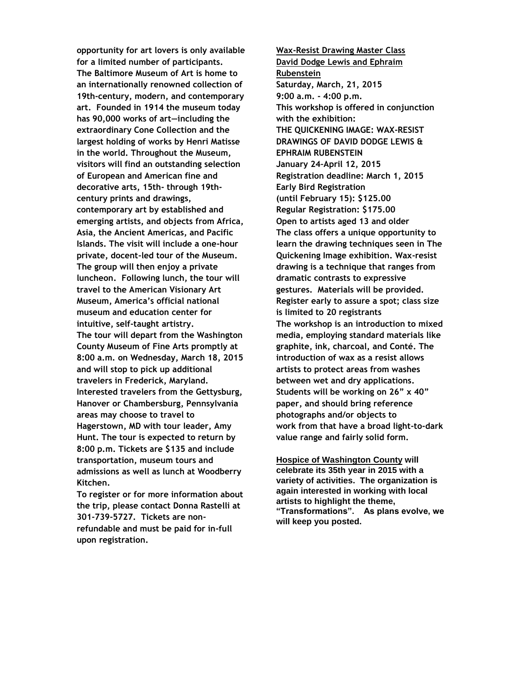**opportunity for art lovers is only available for a limited number of participants. The Baltimore Museum of Art is home to an internationally renowned collection of 19th-century, modern, and contemporary art. Founded in 1914 the museum today has 90,000 works of art—including the extraordinary Cone Collection and the largest holding of works by Henri Matisse in the world. Throughout the Museum, visitors will find an outstanding selection of European and American fine and decorative arts, 15th- through 19thcentury prints and drawings, contemporary art by established and emerging artists, and objects from Africa, Asia, the Ancient Americas, and Pacific Islands. The visit will include a one-hour private, docent-led tour of the Museum. The group will then enjoy a private luncheon. Following lunch, the tour will travel to the American Visionary Art Museum, America's official national museum and education center for intuitive, self-taught artistry. The tour will depart from the Washington County Museum of Fine Arts promptly at 8:00 a.m. on Wednesday, March 18, 2015 and will stop to pick up additional travelers in Frederick, Maryland. Interested travelers from the Gettysburg, Hanover or Chambersburg, Pennsylvania areas may choose to travel to Hagerstown, MD with tour leader, Amy Hunt. The tour is expected to return by 8:00 p.m. Tickets are \$135 and include transportation, museum tours and admissions as well as lunch at Woodberry Kitchen.** 

**To register or for more information about the trip, please contact Donna Rastelli at 301-739-5727. Tickets are nonrefundable and must be paid for in-full upon registration.**

**Wax-Resist Drawing Master Class David Dodge Lewis and Ephraim Rubenstein Saturday, March, 21, 2015 9:00 a.m. - 4:00 p.m. This workshop is offered in conjunction with the exhibition: THE QUICKENING IMAGE: WAX-RESIST DRAWINGS OF DAVID DODGE LEWIS & EPHRAIM RUBENSTEIN January 24–April 12, 2015 Registration deadline: March 1, 2015 Early Bird Registration (until February 15): \$125.00 Regular Registration: \$175.00 Open to artists aged 13 and older The class offers a unique opportunity to learn the drawing techniques seen in The Quickening Image exhibition. Wax-resist drawing is a technique that ranges from dramatic contrasts to expressive gestures. Materials will be provided. Register early to assure a spot; class size is limited to 20 registrants The workshop is an introduction to mixed media, employing standard materials like graphite, ink, charcoal, and Conté. The introduction of wax as a resist allows artists to protect areas from washes between wet and dry applications. Students will be working on 26" x 40" paper, and should bring reference photographs and/or objects to work from that have a broad light-to-dark value range and fairly solid form.**

**Hospice of Washington County will celebrate its 35th year in 2015 with a variety of activities. The organization is again interested in working with local artists to highlight the theme, "Transformations". As plans evolve, we will keep you posted.**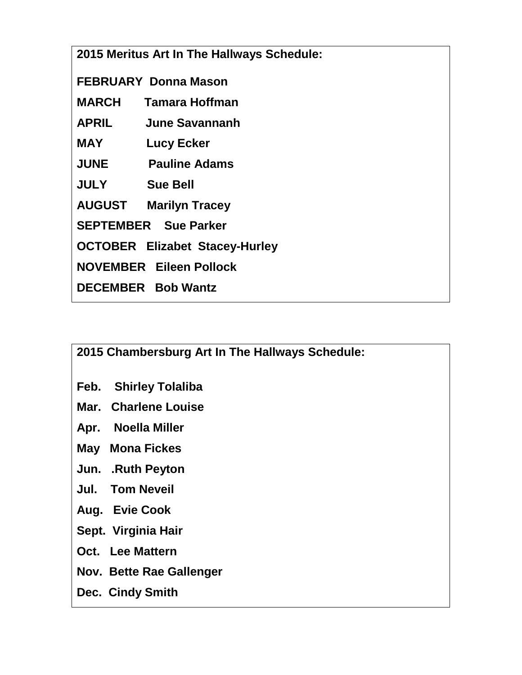|                                |                                       | 2015 Meritus Art In The Hallways Schedule: |  |  |
|--------------------------------|---------------------------------------|--------------------------------------------|--|--|
| <b>FEBRUARY Donna Mason</b>    |                                       |                                            |  |  |
|                                |                                       | <b>MARCH</b> Tamara Hoffman                |  |  |
|                                |                                       | <b>APRIL</b> June Savannanh                |  |  |
|                                | <b>MAY</b>                            | Lucy Ecker                                 |  |  |
|                                |                                       | <b>JUNE</b> Pauline Adams                  |  |  |
|                                | <b>JULY</b> Sue Bell                  |                                            |  |  |
|                                |                                       | <b>AUGUST Marilyn Tracey</b>               |  |  |
|                                | <b>SEPTEMBER</b> Sue Parker           |                                            |  |  |
|                                | <b>OCTOBER Elizabet Stacey-Hurley</b> |                                            |  |  |
| <b>NOVEMBER Eileen Pollock</b> |                                       |                                            |  |  |
|                                |                                       | <b>DECEMBER Bob Wantz</b>                  |  |  |
|                                |                                       |                                            |  |  |

**2015 Chambersburg Art In The Hallways Schedule:**

- **Feb. Shirley Tolaliba**
- **Mar. Charlene Louise**
- **Apr. Noella Miller**
- **May Mona Fickes**
- **Jun. .Ruth Peyton**
- **Jul. Tom Neveil**
- **Aug. Evie Cook**
- **Sept. Virginia Hair**
- **Oct. Lee Mattern**
- **Nov. Bette Rae Gallenger**
- **Dec. Cindy Smith**